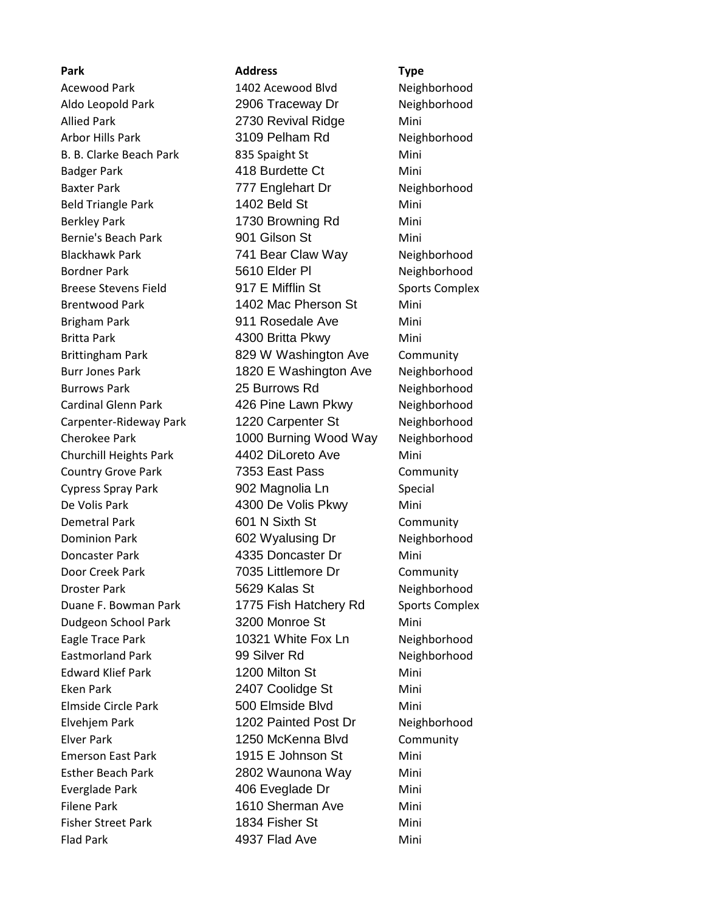**Park Address Type** Acewood Park 1402 Acewood Blvd Neighborhood Aldo Leopold Park 2906 Traceway Dr Neighborhood Allied Park 2730 Revival Ridge Mini Arbor Hills Park 3109 Pelham Rd Neighborhood B. B. Clarke Beach Park 835 Spaight St Mini Badger Park **418 Burdette Ct** Mini Baxter Park 777 Englehart Dr Neighborhood Beld Triangle Park 1402 Beld St Mini Berkley Park **1730 Browning Rd** Mini Bernie's Beach Park 1901 Gilson St Mini Blackhawk Park 741 Bear Claw Way Neighborhood Bordner Park **5610 Elder Pl** Neighborhood Breese Stevens Field **917 E Mifflin St** Sports Complex Brentwood Park 1402 Mac Pherson St Mini Brigham Park **911 Rosedale Ave** Mini Britta Park **1988 1300 Britta Pkwy** Mini Brittingham Park **829 W Washington Ave** Community Burr Jones Park 1820 E Washington Ave Neighborhood Burrows Park 25 Burrows Rd Neighborhood Cardinal Glenn Park **426 Pine Lawn Pkwy** Neighborhood Carpenter-Rideway Park 1220 Carpenter St Neighborhood Cherokee Park 1000 Burning Wood Way Neighborhood Churchill Heights Park 4402 DiLoreto Ave Mini Country Grove Park 7353 East Pass Community Cypress Spray Park 902 Magnolia Ln Special De Volis Park **4300 De Volis Pkwy** Mini Demetral Park 601 N Sixth St Community Dominion Park **602 Wyalusing Dr** Neighborhood Doncaster Park 4335 Doncaster Dr Mini Door Creek Park 7035 Littlemore Dr Community Droster Park **1988** St 1988 St 5629 Kalas St 5629 Neighborhood Duane F. Bowman Park 1775 Fish Hatchery Rd Sports Complex Dudgeon School Park 3200 Monroe St Mini Eagle Trace Park 10321 White Fox Ln Neighborhood Eastmorland Park 99 Silver Rd Neighborhood Edward Klief Park 1200 Milton St Mini Eken Park 2407 Coolidge St Mini Elmside Circle Park 500 Elmside Blvd Mini Elvehjem Park 1202 Painted Post Dr Neighborhood Elver Park **1250 McKenna Blvd** Community Emerson East Park 1915 E Johnson St Mini Esther Beach Park 2802 Waunona Way Mini Everglade Park 406 Eveglade Dr Mini Filene Park **1610 Sherman Ave** Mini Fisher Street Park 1834 Fisher St Mini Flad Park **4937 Flad Ave** Mini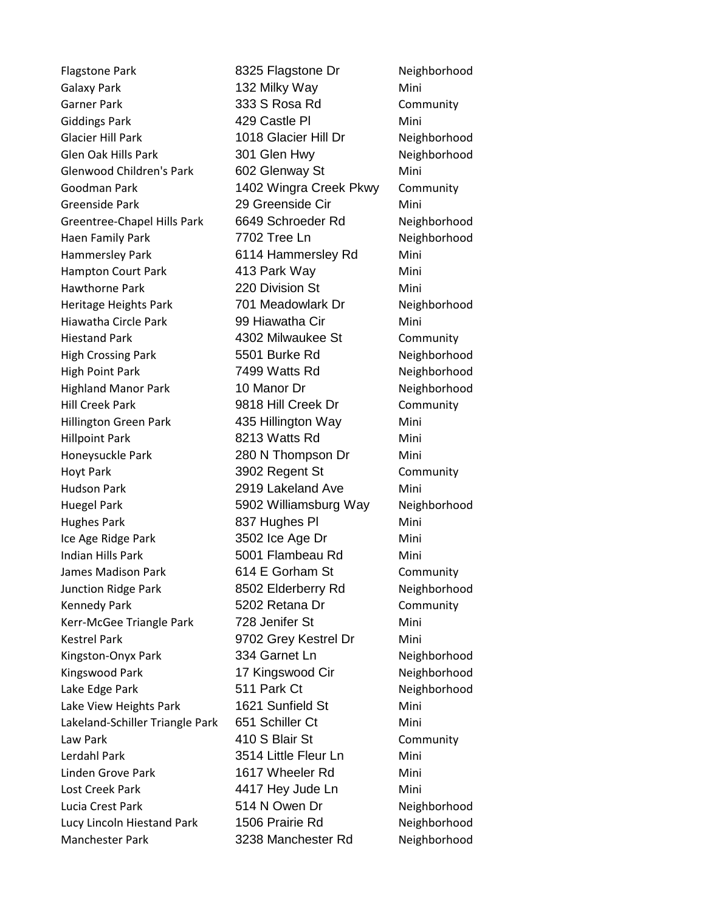Flagstone Park 8325 Flagstone Dr Neighborhood Galaxy Park 132 Milky Way Mini Garner Park 333 S Rosa Rd Community Giddings Park **429 Castle Pl** Mini Glacier Hill Park 1018 Glacier Hill Dr Neighborhood Glen Oak Hills Park **301 Glen Hwy Neighborhood** Glenwood Children's Park 602 Glenway St Mini Goodman Park 1402 Wingra Creek Pkwy Community Greenside Park **29 Greenside Cir** Mini Greentree-Chapel Hills Park 6649 Schroeder Rd Neighborhood Haen Family Park 7702 Tree Ln Neighborhood Hammersley Park 6114 Hammersley Rd Mini Hampton Court Park **413 Park Way** Mini Hawthorne Park 220 Division St Mini Heritage Heights Park 701 Meadowlark Dr Neighborhood Hiawatha Circle Park 99 Hiawatha Cir Mini Hiestand Park 4302 Milwaukee St Community High Crossing Park **5501 Burke Rd** Neighborhood High Point Park **7499 Watts Rd** Neighborhood Highland Manor Park 10 Manor Dr Neighborhood Hill Creek Park **9818 Hill Creek Dr** Community Hillington Green Park 435 Hillington Way Mini Hillpoint Park **8213 Watts Rd** Mini Honeysuckle Park 280 N Thompson Dr Mini Hoyt Park 3902 Regent St Community Hudson Park 2919 Lakeland Ave Mini Huegel Park 5902 Williamsburg Way Neighborhood Hughes Park 837 Hughes Pl Mini Ice Age Ridge Park 3502 Ice Age Dr Mini Indian Hills Park 5001 Flambeau Rd Mini James Madison Park 614 E Gorham St Community Junction Ridge Park 8502 Elderberry Rd Neighborhood Kennedy Park 6202 Retana Dr Community Kerr-McGee Triangle Park 728 Jenifer St Mini Kestrel Park 9702 Grey Kestrel Dr Mini Kingston-Onyx Park 334 Garnet Ln Neighborhood Kingswood Park 17 Kingswood Cir Neighborhood Lake Edge Park **Figure 1212 State 12 State 12 State 12 According 12 State 12 According 12 According 12 According 12** Lake View Heights Park 1621 Sunfield St Mini Lakeland-Schiller Triangle Park 651 Schiller Ct Mini Law Park 1988 10 S Blair St Community Lerdahl Park 3514 Little Fleur Ln Mini Linden Grove Park 1617 Wheeler Rd Mini Lost Creek Park **14417 Hey Jude Ln** Mini Lucia Crest Park **514 N Owen Dr** Neighborhood Lucy Lincoln Hiestand Park 1506 Prairie Rd Neighborhood Manchester Park 3238 Manchester Rd Neighborhood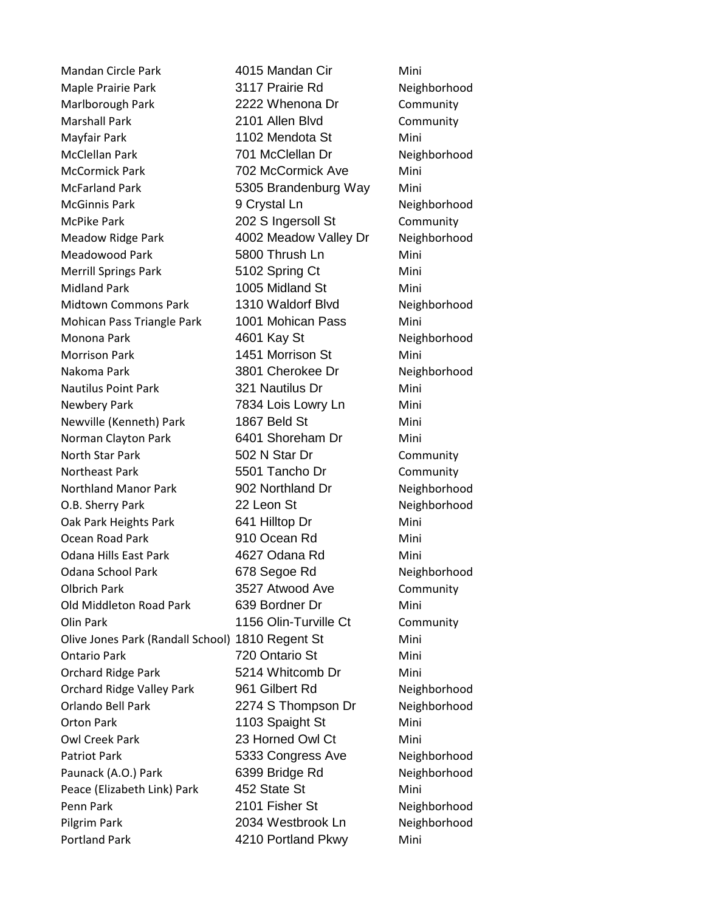Mandan Circle Park 4015 Mandan Cir Mini Maple Prairie Park 3117 Prairie Rd Neighborhood Marlborough Park 2222 Whenona Dr Community Marshall Park 2101 Allen Blvd Community Mayfair Park 1102 Mendota St Mini McClellan Park 701 McClellan Dr Neighborhood McCormick Park 702 McCormick Ave Mini McFarland Park **6305 Brandenburg Way** Mini McGinnis Park **9 Crystal Ln** Neighborhood McPike Park 202 S Ingersoll St Community Meadow Ridge Park 4002 Meadow Valley Dr Neighborhood Meadowood Park 5800 Thrush Ln Mini Merrill Springs Park **5102 Spring Ct** Mini Midland Park 1005 Midland St Mini Midtown Commons Park 1310 Waldorf Blvd Neighborhood Mohican Pass Triangle Park 1001 Mohican Pass Mini Monona Park 1990 Monona Park 1990 Meighborhood Morrison Park 1451 Morrison St Mini Nakoma Park 3801 Cherokee Dr Neighborhood Nautilus Point Park 321 Nautilus Dr Mini Newbery Park **7834 Lois Lowry Ln** Mini Newville (Kenneth) Park 1867 Beld St Mini Norman Clayton Park 6401 Shoreham Dr Mini North Star Park 602 N Star Dr Community Northeast Park **6501 Tancho Dr** Community Northland Manor Park 902 Northland Dr Neighborhood O.B. Sherry Park 22 Leon St Neighborhood Oak Park Heights Park 641 Hilltop Dr Mini Ocean Road Park 910 Ocean Rd Mini Odana Hills East Park 4627 Odana Rd Mini Odana School Park 678 Segoe Rd Neighborhood Olbrich Park 3527 Atwood Ave Community Old Middleton Road Park 639 Bordner Dr Mini Olin Park **1156 Olin-Turville Ct** Community Olive Jones Park (Randall School) 1810 Regent St Mini Ontario Park 720 Ontario St Mini Orchard Ridge Park 5214 Whitcomb Dr Mini Orchard Ridge Valley Park 961 Gilbert Rd Neighborhood Orlando Bell Park 2274 S Thompson Dr Neighborhood Orton Park 1103 Spaight St Mini Owl Creek Park 23 Horned Owl Ct Mini Patriot Park **Face Constants** 5333 Congress Ave **Neighborhood** Paunack (A.O.) Park 6399 Bridge Rd Neighborhood Peace (Elizabeth Link) Park 452 State St Mini Penn Park **2101 Fisher St** Neighborhood Pilgrim Park 2034 Westbrook Ln Neighborhood Portland Park **1988** 4210 Portland Pkwy Mini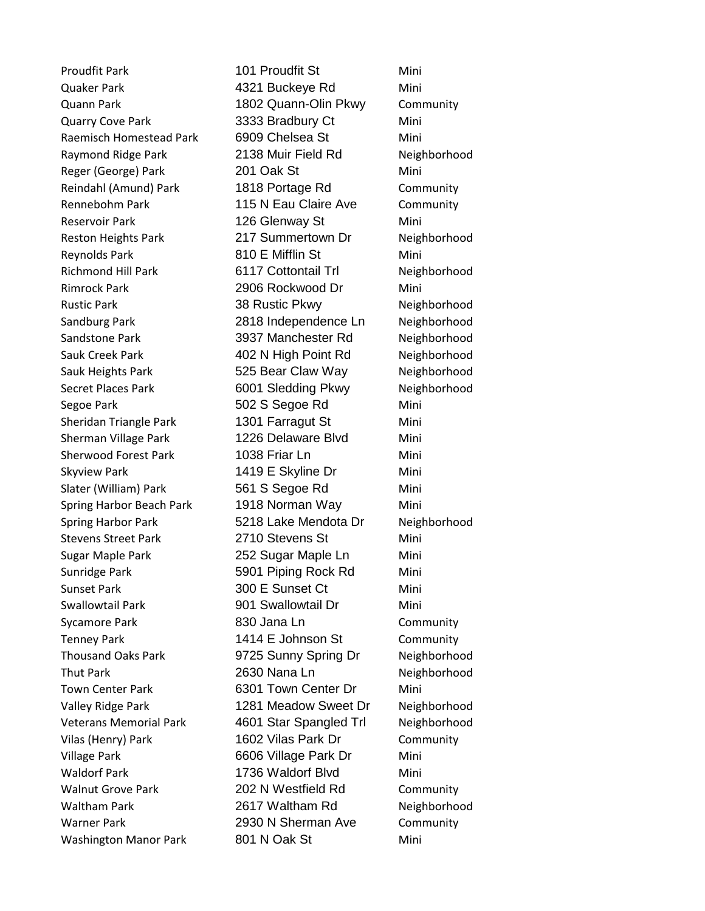Quaker Park 4321 Buckeye Rd Mini Quann Park 1802 Quann-Olin Pkwy Community Quarry Cove Park 3333 Bradbury Ct Mini Raemisch Homestead Park 6909 Chelsea St Mini Raymond Ridge Park 2138 Muir Field Rd Neighborhood Reger (George) Park 201 Oak St Mini Reindahl (Amund) Park 1818 Portage Rd Community Rennebohm Park 115 N Eau Claire Ave Community Reservoir Park 126 Glenway St Mini Reston Heights Park 217 Summertown Dr Neighborhood Reynolds Park **810 E Mifflin St** Mini Richmond Hill Park 6117 Cottontail Trl Neighborhood Rimrock Park 2906 Rockwood Dr Mini Rustic Park 38 Rustic Pkwy Neighborhood Sandburg Park 2818 Independence Ln Neighborhood Sandstone Park 3937 Manchester Rd Neighborhood Sauk Creek Park 1992 N High Point Rd Neighborhood Sauk Heights Park **525 Bear Claw Way** Neighborhood Secret Places Park **6001 Sledding Pkwy** Neighborhood Segoe Park 602 S Segoe Rd Mini Sheridan Triangle Park 1301 Farragut St Mini Sherman Village Park 1226 Delaware Blvd Mini Sherwood Forest Park 1038 Friar Ln Mini Skyview Park 1419 E Skyline Dr Mini Slater (William) Park 561 S Segoe Rd Mini Spring Harbor Beach Park 1918 Norman Way Mini Spring Harbor Park 5218 Lake Mendota Dr Neighborhood Stevens Street Park 2710 Stevens St Sugar Maple Park 252 Sugar Maple Ln Mini Sunridge Park 5901 Piping Rock Rd Mini Sunset Park 300 E Sunset Ct Mini Swallowtail Park **901 Swallowtail Dr** Mini Sycamore Park 830 Jana Ln Community Tenney Park 1414 E Johnson St Community Thousand Oaks Park 9725 Sunny Spring Dr Neighborhood Thut Park 2630 Nana Ln Neighborhood Town Center Park 6301 Town Center Dr Mini Valley Ridge Park 1281 Meadow Sweet Dr Neighborhood Veterans Memorial Park 4601 Star Spangled Trl Neighborhood Vilas (Henry) Park 1602 Vilas Park Dr Community Village Park **6606 Village Park Dr** Mini Waldorf Park 1736 Waldorf Blvd Mini Walnut Grove Park 202 N Westfield Rd Community Waltham Park 2617 Waltham Rd Neighborhood Warner Park 2930 N Sherman Ave Community Washington Manor Park 801 N Oak St Mini

Proudfit Park 101 Proudfit St Mini